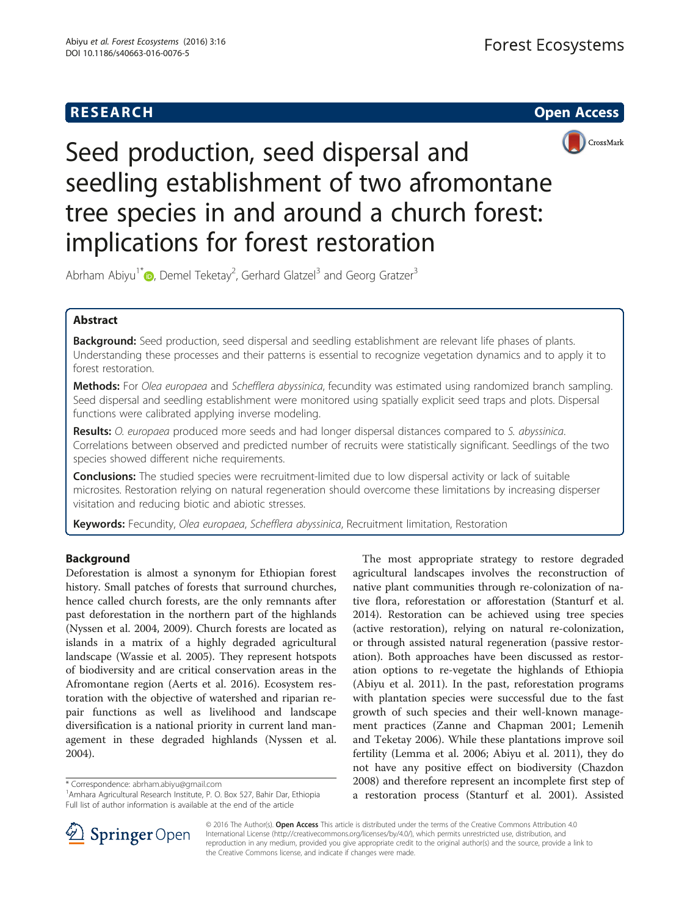



# Seed production, seed dispersal and seedling establishment of two afromontane tree species in and around a church forest: implications for forest restoration

Abrham Abiyu<sup>1\*</sup> <sub>(D</sub>[,](http://orcid.org/0000-0001-9427-9820) Demel Teketay<sup>2</sup>, Gerhard Glatzel<sup>3</sup> and Georg Gratzer<sup>3</sup>

# Abstract

Background: Seed production, seed dispersal and seedling establishment are relevant life phases of plants. Understanding these processes and their patterns is essential to recognize vegetation dynamics and to apply it to forest restoration.

Methods: For Olea europaea and Schefflera abyssinica, fecundity was estimated using randomized branch sampling. Seed dispersal and seedling establishment were monitored using spatially explicit seed traps and plots. Dispersal functions were calibrated applying inverse modeling.

Results: O. europaea produced more seeds and had longer dispersal distances compared to S. abyssinica. Correlations between observed and predicted number of recruits were statistically significant. Seedlings of the two species showed different niche requirements.

**Conclusions:** The studied species were recruitment-limited due to low dispersal activity or lack of suitable microsites. Restoration relying on natural regeneration should overcome these limitations by increasing disperser visitation and reducing biotic and abiotic stresses.

Keywords: Fecundity, Olea europaea, Schefflera abyssinica, Recruitment limitation, Restoration

# Background

Deforestation is almost a synonym for Ethiopian forest history. Small patches of forests that surround churches, hence called church forests, are the only remnants after past deforestation in the northern part of the highlands (Nyssen et al. [2004, 2009\)](#page-8-0). Church forests are located as islands in a matrix of a highly degraded agricultural landscape (Wassie et al. [2005](#page-8-0)). They represent hotspots of biodiversity and are critical conservation areas in the Afromontane region (Aerts et al. [2016\)](#page-8-0). Ecosystem restoration with the objective of watershed and riparian repair functions as well as livelihood and landscape diversification is a national priority in current land management in these degraded highlands (Nyssen et al. [2004](#page-8-0)).

\* Correspondence: [abrham.abiyu@gmail.com](mailto:abrham.abiyu@gmail.com) <sup>1</sup>

The most appropriate strategy to restore degraded agricultural landscapes involves the reconstruction of native plant communities through re-colonization of native flora, reforestation or afforestation (Stanturf et al. [2014](#page-8-0)). Restoration can be achieved using tree species (active restoration), relying on natural re-colonization, or through assisted natural regeneration (passive restoration). Both approaches have been discussed as restoration options to re-vegetate the highlands of Ethiopia (Abiyu et al. [2011](#page-8-0)). In the past, reforestation programs with plantation species were successful due to the fast growth of such species and their well-known management practices (Zanne and Chapman [2001;](#page-9-0) Lemenih and Teketay [2006](#page-8-0)). While these plantations improve soil fertility (Lemma et al. [2006;](#page-8-0) Abiyu et al. [2011\)](#page-8-0), they do not have any positive effect on biodiversity (Chazdon [2008](#page-8-0)) and therefore represent an incomplete first step of a restoration process (Stanturf et al. [2001](#page-8-0)). Assisted



© 2016 The Author(s). Open Access This article is distributed under the terms of the Creative Commons Attribution 4.0 International License ([http://creativecommons.org/licenses/by/4.0/\)](http://creativecommons.org/licenses/by/4.0/), which permits unrestricted use, distribution, and reproduction in any medium, provided you give appropriate credit to the original author(s) and the source, provide a link to the Creative Commons license, and indicate if changes were made.

<sup>&</sup>lt;sup>1</sup> Amhara Agricultural Research Institute, P. O. Box 527, Bahir Dar, Ethiopia Full list of author information is available at the end of the article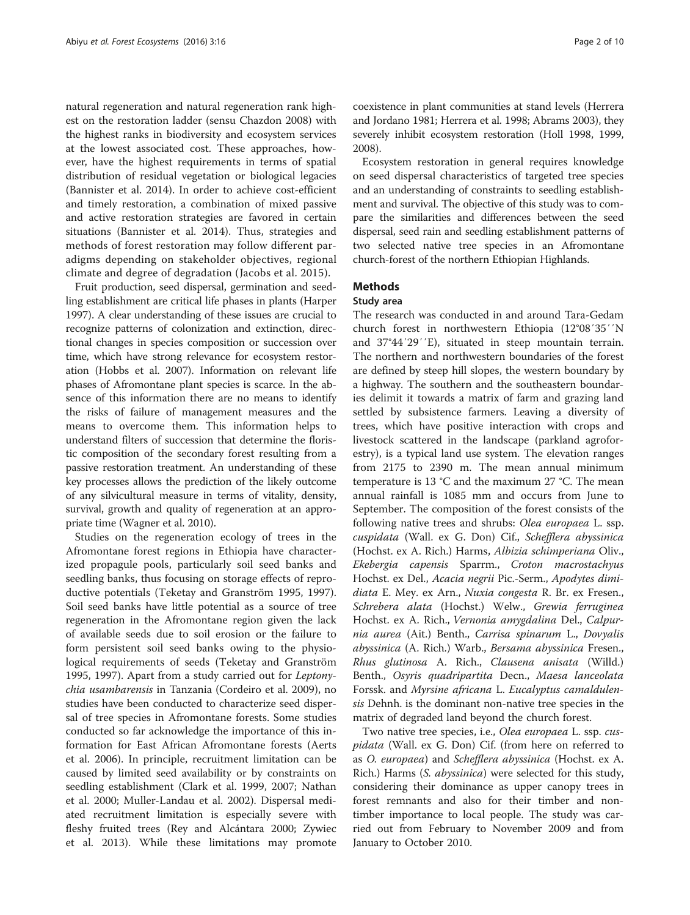natural regeneration and natural regeneration rank highest on the restoration ladder (sensu Chazdon [2008](#page-8-0)) with the highest ranks in biodiversity and ecosystem services at the lowest associated cost. These approaches, however, have the highest requirements in terms of spatial distribution of residual vegetation or biological legacies (Bannister et al. [2014\)](#page-8-0). In order to achieve cost-efficient and timely restoration, a combination of mixed passive and active restoration strategies are favored in certain situations (Bannister et al. [2014](#page-8-0)). Thus, strategies and methods of forest restoration may follow different paradigms depending on stakeholder objectives, regional climate and degree of degradation (Jacobs et al. [2015\)](#page-8-0).

Fruit production, seed dispersal, germination and seedling establishment are critical life phases in plants (Harper [1997\)](#page-8-0). A clear understanding of these issues are crucial to recognize patterns of colonization and extinction, directional changes in species composition or succession over time, which have strong relevance for ecosystem restoration (Hobbs et al. [2007](#page-8-0)). Information on relevant life phases of Afromontane plant species is scarce. In the absence of this information there are no means to identify the risks of failure of management measures and the means to overcome them. This information helps to understand filters of succession that determine the floristic composition of the secondary forest resulting from a passive restoration treatment. An understanding of these key processes allows the prediction of the likely outcome of any silvicultural measure in terms of vitality, density, survival, growth and quality of regeneration at an appropriate time (Wagner et al. [2010](#page-8-0)).

Studies on the regeneration ecology of trees in the Afromontane forest regions in Ethiopia have characterized propagule pools, particularly soil seed banks and seedling banks, thus focusing on storage effects of reproductive potentials (Teketay and Granström [1995, 1997](#page-8-0)). Soil seed banks have little potential as a source of tree regeneration in the Afromontane region given the lack of available seeds due to soil erosion or the failure to form persistent soil seed banks owing to the physiological requirements of seeds (Teketay and Granström [1995](#page-8-0), [1997](#page-8-0)). Apart from a study carried out for Leptonychia usambarensis in Tanzania (Cordeiro et al. [2009\)](#page-8-0), no studies have been conducted to characterize seed dispersal of tree species in Afromontane forests. Some studies conducted so far acknowledge the importance of this information for East African Afromontane forests (Aerts et al. [2006](#page-8-0)). In principle, recruitment limitation can be caused by limited seed availability or by constraints on seedling establishment (Clark et al. [1999](#page-8-0), [2007](#page-8-0); Nathan et al. [2000;](#page-8-0) Muller-Landau et al. [2002](#page-8-0)). Dispersal mediated recruitment limitation is especially severe with fleshy fruited trees (Rey and Alcántara [2000;](#page-8-0) Zywiec et al. [2013\)](#page-9-0). While these limitations may promote

coexistence in plant communities at stand levels (Herrera and Jordano [1981;](#page-8-0) Herrera et al. [1998](#page-8-0); Abrams [2003\)](#page-8-0), they severely inhibit ecosystem restoration (Holl [1998](#page-8-0), [1999](#page-8-0), [2008\)](#page-8-0).

Ecosystem restoration in general requires knowledge on seed dispersal characteristics of targeted tree species and an understanding of constraints to seedling establishment and survival. The objective of this study was to compare the similarities and differences between the seed dispersal, seed rain and seedling establishment patterns of two selected native tree species in an Afromontane church-forest of the northern Ethiopian Highlands.

# Methods

#### Study area

The research was conducted in and around Tara-Gedam church forest in northwestern Ethiopia (12°08′35′′N and 37°44′29′′E), situated in steep mountain terrain. The northern and northwestern boundaries of the forest are defined by steep hill slopes, the western boundary by a highway. The southern and the southeastern boundaries delimit it towards a matrix of farm and grazing land settled by subsistence farmers. Leaving a diversity of trees, which have positive interaction with crops and livestock scattered in the landscape (parkland agroforestry), is a typical land use system. The elevation ranges from 2175 to 2390 m. The mean annual minimum temperature is 13 °C and the maximum 27 °C. The mean annual rainfall is 1085 mm and occurs from June to September. The composition of the forest consists of the following native trees and shrubs: Olea europaea L. ssp. cuspidata (Wall. ex G. Don) Cif., Schefflera abyssinica (Hochst. ex A. Rich.) Harms, Albizia schimperiana Oliv., Ekebergia capensis Sparrm., Croton macrostachyus Hochst. ex Del., Acacia negrii Pic.-Serm., Apodytes dimidiata E. Mey. ex Arn., Nuxia congesta R. Br. ex Fresen., Schrebera alata (Hochst.) Welw., Grewia ferruginea Hochst. ex A. Rich., Vernonia amygdalina Del., Calpurnia aurea (Ait.) Benth., Carrisa spinarum L., Dovyalis abyssinica (A. Rich.) Warb., Bersama abyssinica Fresen., Rhus glutinosa A. Rich., Clausena anisata (Willd.) Benth., Osyris quadripartita Decn., Maesa lanceolata Forssk. and Myrsine africana L. Eucalyptus camaldulensis Dehnh. is the dominant non-native tree species in the matrix of degraded land beyond the church forest.

Two native tree species, i.e., Olea europaea L. ssp. cuspidata (Wall. ex G. Don) Cif. (from here on referred to as O. europaea) and Schefflera abyssinica (Hochst. ex A. Rich.) Harms (S. *abyssinica*) were selected for this study, considering their dominance as upper canopy trees in forest remnants and also for their timber and nontimber importance to local people. The study was carried out from February to November 2009 and from January to October 2010.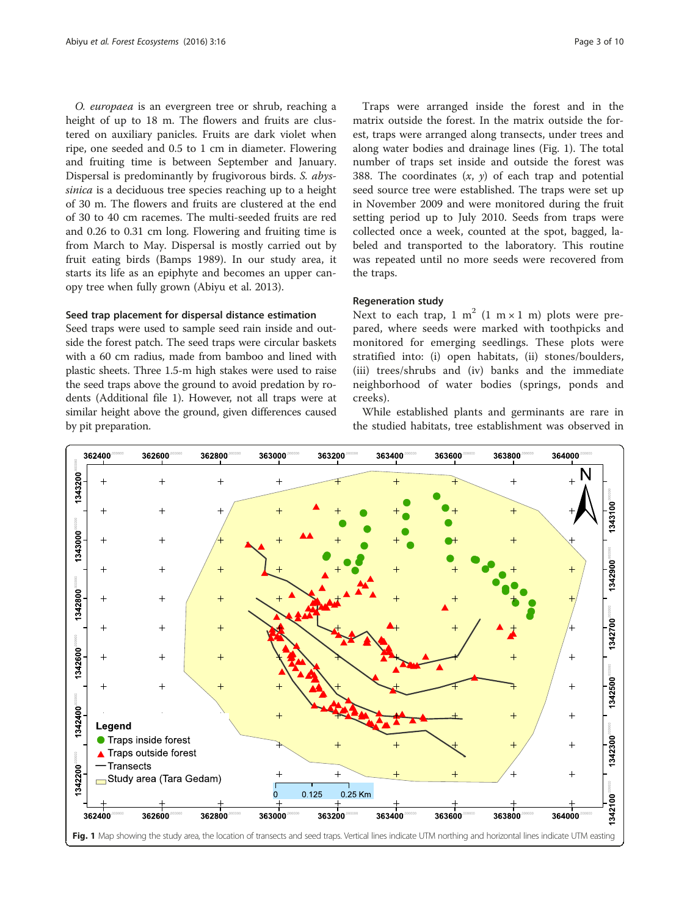O. europaea is an evergreen tree or shrub, reaching a height of up to 18 m. The flowers and fruits are clustered on auxiliary panicles. Fruits are dark violet when ripe, one seeded and 0.5 to 1 cm in diameter. Flowering and fruiting time is between September and January. Dispersal is predominantly by frugivorous birds. S. abyssinica is a deciduous tree species reaching up to a height of 30 m. The flowers and fruits are clustered at the end of 30 to 40 cm racemes. The multi-seeded fruits are red and 0.26 to 0.31 cm long. Flowering and fruiting time is from March to May. Dispersal is mostly carried out by fruit eating birds (Bamps [1989](#page-8-0)). In our study area, it starts its life as an epiphyte and becomes an upper canopy tree when fully grown (Abiyu et al. [2013\)](#page-8-0).

#### Seed trap placement for dispersal distance estimation

Seed traps were used to sample seed rain inside and outside the forest patch. The seed traps were circular baskets with a 60 cm radius, made from bamboo and lined with plastic sheets. Three 1.5-m high stakes were used to raise the seed traps above the ground to avoid predation by rodents (Additional file [1](#page-7-0)). However, not all traps were at similar height above the ground, given differences caused by pit preparation.

Traps were arranged inside the forest and in the matrix outside the forest. In the matrix outside the forest, traps were arranged along transects, under trees and along water bodies and drainage lines (Fig. 1). The total number of traps set inside and outside the forest was 388. The coordinates  $(x, y)$  of each trap and potential seed source tree were established. The traps were set up in November 2009 and were monitored during the fruit setting period up to July 2010. Seeds from traps were collected once a week, counted at the spot, bagged, labeled and transported to the laboratory. This routine was repeated until no more seeds were recovered from the traps.

#### Regeneration study

Next to each trap, 1 m<sup>2</sup> (1 m  $\times$  1 m) plots were prepared, where seeds were marked with toothpicks and monitored for emerging seedlings. These plots were stratified into: (i) open habitats, (ii) stones/boulders, (iii) trees/shrubs and (iv) banks and the immediate neighborhood of water bodies (springs, ponds and creeks).

While established plants and germinants are rare in the studied habitats, tree establishment was observed in

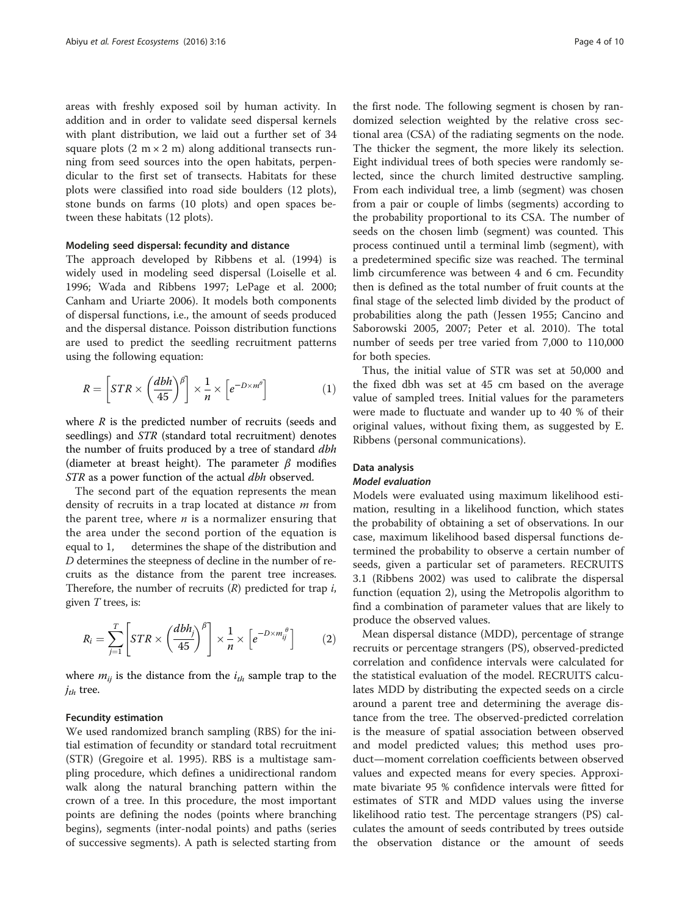areas with freshly exposed soil by human activity. In addition and in order to validate seed dispersal kernels with plant distribution, we laid out a further set of 34 square plots  $(2 \text{ m} \times 2 \text{ m})$  along additional transects running from seed sources into the open habitats, perpendicular to the first set of transects. Habitats for these plots were classified into road side boulders (12 plots), stone bunds on farms (10 plots) and open spaces between these habitats (12 plots).

#### Modeling seed dispersal: fecundity and distance

The approach developed by Ribbens et al. [\(1994\)](#page-8-0) is widely used in modeling seed dispersal (Loiselle et al. [1996](#page-8-0); Wada and Ribbens [1997](#page-8-0); LePage et al. [2000](#page-8-0); Canham and Uriarte [2006\)](#page-8-0). It models both components of dispersal functions, i.e., the amount of seeds produced and the dispersal distance. Poisson distribution functions are used to predict the seedling recruitment patterns using the following equation:

$$
R = \left[ STR \times \left( \frac{dbh}{45} \right)^{\beta} \right] \times \frac{1}{n} \times \left[ e^{-D \times m^{\beta}} \right] \tag{1}
$$

where  $R$  is the predicted number of recruits (seeds and seedlings) and STR (standard total recruitment) denotes the number of fruits produced by a tree of standard dbh (diameter at breast height). The parameter  $\beta$  modifies STR as a power function of the actual *dbh* observed.

The second part of the equation represents the mean density of recruits in a trap located at distance  $m$  from the parent tree, where  $n$  is a normalizer ensuring that the area under the second portion of the equation is equal to 1, determines the shape of the distribution and D determines the steepness of decline in the number of recruits as the distance from the parent tree increases. Therefore, the number of recruits  $(R)$  predicted for trap *i*, given  $T$  trees, is:

$$
R_i = \sum_{j=1}^{T} \left[ STR \times \left( \frac{dbh_j}{45} \right)^{\beta} \right] \times \frac{1}{n} \times \left[ e^{-D \times m_{ij}^{\theta}} \right] \tag{2}
$$

where  $m_{ij}$  is the distance from the  $i_{th}$  sample trap to the  $j_{th}$  tree.

#### Fecundity estimation

We used randomized branch sampling (RBS) for the initial estimation of fecundity or standard total recruitment (STR) (Gregoire et al. [1995](#page-8-0)). RBS is a multistage sampling procedure, which defines a unidirectional random walk along the natural branching pattern within the crown of a tree. In this procedure, the most important points are defining the nodes (points where branching begins), segments (inter-nodal points) and paths (series of successive segments). A path is selected starting from

the first node. The following segment is chosen by randomized selection weighted by the relative cross sectional area (CSA) of the radiating segments on the node. The thicker the segment, the more likely its selection. Eight individual trees of both species were randomly selected, since the church limited destructive sampling. From each individual tree, a limb (segment) was chosen from a pair or couple of limbs (segments) according to the probability proportional to its CSA. The number of seeds on the chosen limb (segment) was counted. This process continued until a terminal limb (segment), with a predetermined specific size was reached. The terminal limb circumference was between 4 and 6 cm. Fecundity then is defined as the total number of fruit counts at the final stage of the selected limb divided by the product of probabilities along the path (Jessen [1955;](#page-8-0) Cancino and Saborowski [2005, 2007](#page-8-0); Peter et al. [2010](#page-8-0)). The total number of seeds per tree varied from 7,000 to 110,000 for both species.

Thus, the initial value of STR was set at 50,000 and the fixed dbh was set at 45 cm based on the average value of sampled trees. Initial values for the parameters were made to fluctuate and wander up to 40 % of their original values, without fixing them, as suggested by E. Ribbens (personal communications).

#### Data analysis

#### Model evaluation

Models were evaluated using maximum likelihood estimation, resulting in a likelihood function, which states the probability of obtaining a set of observations. In our case, maximum likelihood based dispersal functions determined the probability to observe a certain number of seeds, given a particular set of parameters. RECRUITS 3.1 (Ribbens [2002](#page-8-0)) was used to calibrate the dispersal function (equation 2), using the Metropolis algorithm to find a combination of parameter values that are likely to produce the observed values.

Mean dispersal distance (MDD), percentage of strange recruits or percentage strangers (PS), observed-predicted correlation and confidence intervals were calculated for the statistical evaluation of the model. RECRUITS calculates MDD by distributing the expected seeds on a circle around a parent tree and determining the average distance from the tree. The observed-predicted correlation is the measure of spatial association between observed and model predicted values; this method uses product—moment correlation coefficients between observed values and expected means for every species. Approximate bivariate 95 % confidence intervals were fitted for estimates of STR and MDD values using the inverse likelihood ratio test. The percentage strangers (PS) calculates the amount of seeds contributed by trees outside the observation distance or the amount of seeds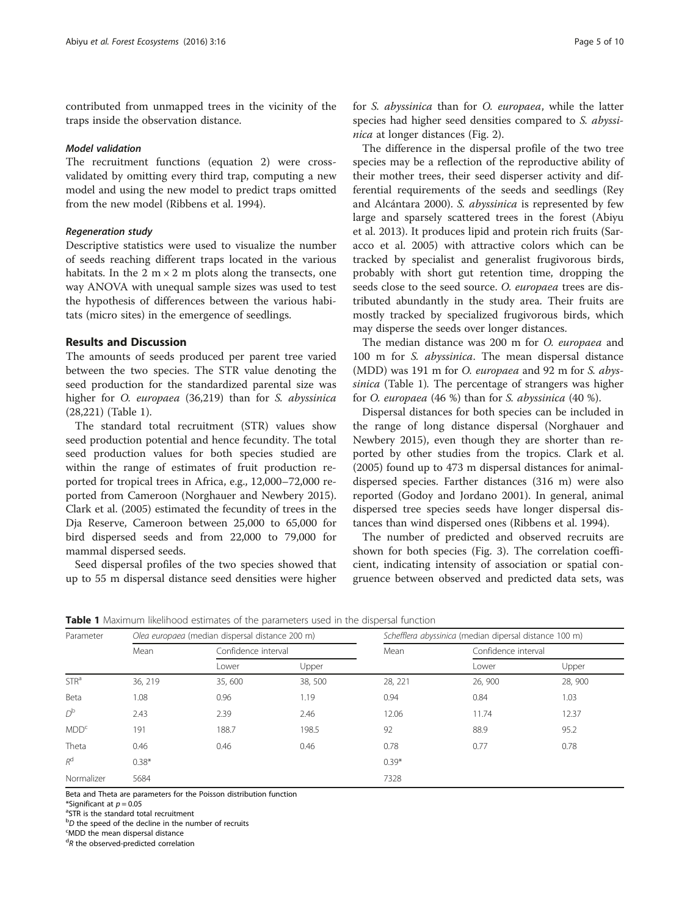<span id="page-4-0"></span>contributed from unmapped trees in the vicinity of the traps inside the observation distance.

#### Model validation

The recruitment functions (equation 2) were crossvalidated by omitting every third trap, computing a new model and using the new model to predict traps omitted from the new model (Ribbens et al. [1994\)](#page-8-0).

#### Regeneration study

Descriptive statistics were used to visualize the number of seeds reaching different traps located in the various habitats. In the 2  $m \times 2$  m plots along the transects, one way ANOVA with unequal sample sizes was used to test the hypothesis of differences between the various habitats (micro sites) in the emergence of seedlings.

#### Results and Discussion

The amounts of seeds produced per parent tree varied between the two species. The STR value denoting the seed production for the standardized parental size was higher for O. europaea (36,219) than for S. abyssinica (28,221) (Table 1).

The standard total recruitment (STR) values show seed production potential and hence fecundity. The total seed production values for both species studied are within the range of estimates of fruit production reported for tropical trees in Africa, e.g., 12,000–72,000 reported from Cameroon (Norghauer and Newbery [2015](#page-8-0)). Clark et al. ([2005\)](#page-8-0) estimated the fecundity of trees in the Dja Reserve, Cameroon between 25,000 to 65,000 for bird dispersed seeds and from 22,000 to 79,000 for mammal dispersed seeds.

Seed dispersal profiles of the two species showed that up to 55 m dispersal distance seed densities were higher

for S. abyssinica than for O. europaea, while the latter species had higher seed densities compared to S. abyssinica at longer distances (Fig. [2\)](#page-5-0).

The difference in the dispersal profile of the two tree species may be a reflection of the reproductive ability of their mother trees, their seed disperser activity and differential requirements of the seeds and seedlings (Rey and Alcántara [2000\)](#page-8-0). S. abyssinica is represented by few large and sparsely scattered trees in the forest (Abiyu et al. [2013\)](#page-8-0). It produces lipid and protein rich fruits (Saracco et al. [2005](#page-8-0)) with attractive colors which can be tracked by specialist and generalist frugivorous birds, probably with short gut retention time, dropping the seeds close to the seed source. O. europaea trees are distributed abundantly in the study area. Their fruits are mostly tracked by specialized frugivorous birds, which may disperse the seeds over longer distances.

The median distance was 200 m for O. europaea and 100 m for *S. abyssinica*. The mean dispersal distance (MDD) was 191 m for O. europaea and 92 m for S. abyssinica (Table 1). The percentage of strangers was higher for O. europaea (46 %) than for S. abyssinica (40 %).

Dispersal distances for both species can be included in the range of long distance dispersal (Norghauer and Newbery [2015](#page-8-0)), even though they are shorter than reported by other studies from the tropics. Clark et al. ([2005\)](#page-8-0) found up to 473 m dispersal distances for animaldispersed species. Farther distances (316 m) were also reported (Godoy and Jordano [2001\)](#page-8-0). In general, animal dispersed tree species seeds have longer dispersal distances than wind dispersed ones (Ribbens et al. [1994\)](#page-8-0).

The number of predicted and observed recruits are shown for both species (Fig. [3](#page-6-0)). The correlation coefficient, indicating intensity of association or spatial congruence between observed and predicted data sets, was

| Parameter        |         | Olea europaea (median dispersal distance 200 m) |         |         |                     | Schefflera abyssinica (median dipersal distance 100 m) |  |
|------------------|---------|-------------------------------------------------|---------|---------|---------------------|--------------------------------------------------------|--|
|                  | Mean    | Confidence interval                             |         | Mean    | Confidence interval |                                                        |  |
|                  |         | Lower                                           | Upper   |         | Lower               | Upper                                                  |  |
| STR <sup>a</sup> | 36, 219 | 35,600                                          | 38, 500 | 28, 221 | 26, 900             | 28,900                                                 |  |
| Beta             | 1.08    | 0.96                                            | 1.19    | 0.94    | 0.84                | 1.03                                                   |  |
| $D^{\rm b}$      | 2.43    | 2.39                                            | 2.46    | 12.06   | 11.74               | 12.37                                                  |  |
| MDD <sup>c</sup> | 191     | 188.7                                           | 198.5   | 92      | 88.9                | 95.2                                                   |  |
| Theta            | 0.46    | 0.46                                            | 0.46    | 0.78    | 0.77                | 0.78                                                   |  |
| $R^d$            | $0.38*$ |                                                 |         | $0.39*$ |                     |                                                        |  |
| Normalizer       | 5684    |                                                 |         | 7328    |                     |                                                        |  |

Table 1 Maximum likelihood estimates of the parameters used in the dispersal function

Beta and Theta are parameters for the Poisson distribution function

\*Significant at  $p = 0.05$ 

<sup>a</sup>STR is the standard total recruitment

 $b_D$  the speed of the decline in the number of recruits<br> $b_D$  the mean dispersed distance

MDD the mean dispersal distance

<sup>d</sup>R the observed-predicted correlation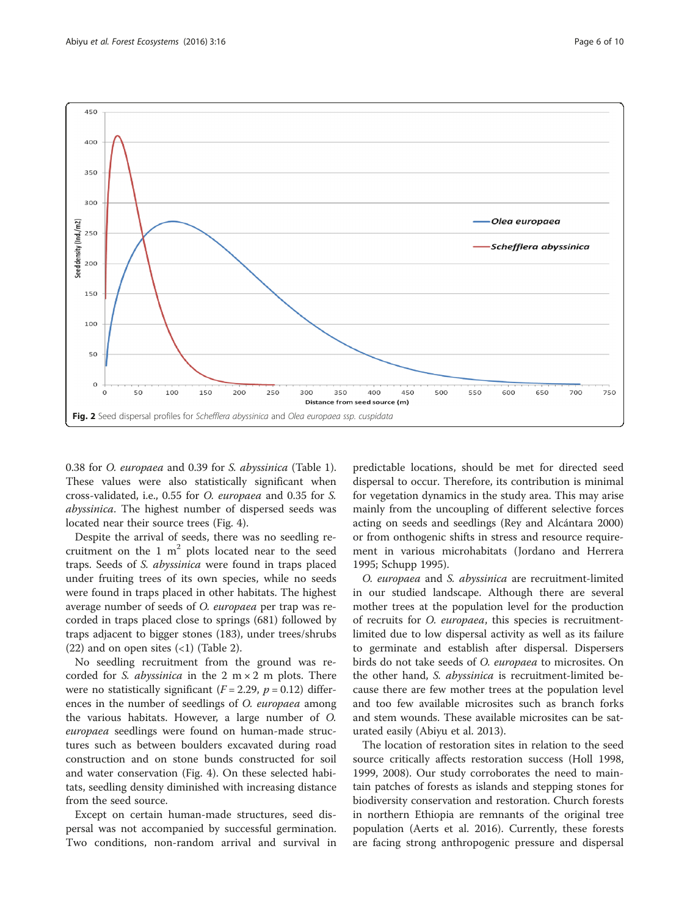<span id="page-5-0"></span>

0.38 for O. europaea and 0.39 for S. abyssinica (Table [1](#page-4-0)). These values were also statistically significant when cross-validated, i.e., 0.55 for O. europaea and 0.35 for S. abyssinica. The highest number of dispersed seeds was located near their source trees (Fig. [4](#page-7-0)).

Despite the arrival of seeds, there was no seedling recruitment on the  $1 \text{ m}^2$  plots located near to the seed traps. Seeds of S. abyssinica were found in traps placed under fruiting trees of its own species, while no seeds were found in traps placed in other habitats. The highest average number of seeds of O. europaea per trap was recorded in traps placed close to springs (681) followed by traps adjacent to bigger stones (183), under trees/shrubs  $(22)$  and on open sites  $(21)$  (Table [2\)](#page-7-0).

No seedling recruitment from the ground was recorded for S. *abyssinica* in the 2  $m \times 2$  m plots. There were no statistically significant  $(F = 2.29, p = 0.12)$  differences in the number of seedlings of O. europaea among the various habitats. However, a large number of O. europaea seedlings were found on human-made structures such as between boulders excavated during road construction and on stone bunds constructed for soil and water conservation (Fig. [4](#page-7-0)). On these selected habitats, seedling density diminished with increasing distance from the seed source.

Except on certain human-made structures, seed dispersal was not accompanied by successful germination. Two conditions, non-random arrival and survival in

predictable locations, should be met for directed seed dispersal to occur. Therefore, its contribution is minimal for vegetation dynamics in the study area. This may arise mainly from the uncoupling of different selective forces acting on seeds and seedlings (Rey and Alcántara [2000](#page-8-0)) or from onthogenic shifts in stress and resource requirement in various microhabitats (Jordano and Herrera [1995](#page-8-0); Schupp [1995\)](#page-8-0).

O. europaea and S. abyssinica are recruitment-limited in our studied landscape. Although there are several mother trees at the population level for the production of recruits for O. europaea, this species is recruitmentlimited due to low dispersal activity as well as its failure to germinate and establish after dispersal. Dispersers birds do not take seeds of O. europaea to microsites. On the other hand, S. abyssinica is recruitment-limited because there are few mother trees at the population level and too few available microsites such as branch forks and stem wounds. These available microsites can be saturated easily (Abiyu et al. [2013\)](#page-8-0).

The location of restoration sites in relation to the seed source critically affects restoration success (Holl [1998](#page-8-0), [1999](#page-8-0), [2008](#page-8-0)). Our study corroborates the need to maintain patches of forests as islands and stepping stones for biodiversity conservation and restoration. Church forests in northern Ethiopia are remnants of the original tree population (Aerts et al. [2016\)](#page-8-0). Currently, these forests are facing strong anthropogenic pressure and dispersal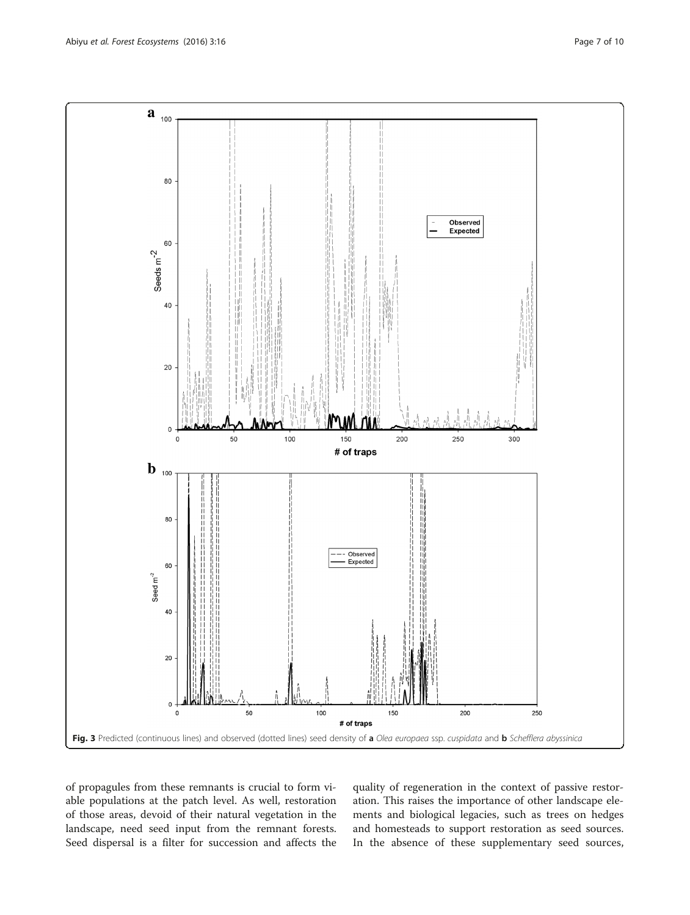<span id="page-6-0"></span>

of propagules from these remnants is crucial to form viable populations at the patch level. As well, restoration of those areas, devoid of their natural vegetation in the landscape, need seed input from the remnant forests. Seed dispersal is a filter for succession and affects the quality of regeneration in the context of passive restoration. This raises the importance of other landscape elements and biological legacies, such as trees on hedges and homesteads to support restoration as seed sources. In the absence of these supplementary seed sources,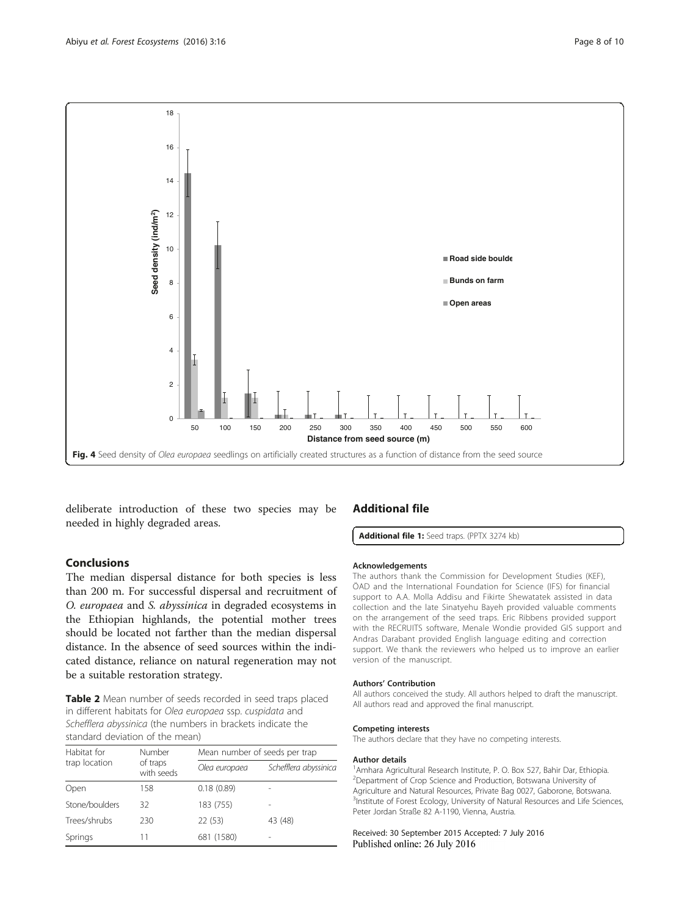<span id="page-7-0"></span>

deliberate introduction of these two species may be needed in highly degraded areas.

### Conclusions

The median dispersal distance for both species is less than 200 m. For successful dispersal and recruitment of O. europaea and S. abyssinica in degraded ecosystems in the Ethiopian highlands, the potential mother trees should be located not farther than the median dispersal distance. In the absence of seed sources within the indicated distance, reliance on natural regeneration may not be a suitable restoration strategy.

Table 2 Mean number of seeds recorded in seed traps placed in different habitats for Olea europaea ssp. cuspidata and Schefflera abyssinica (the numbers in brackets indicate the standard deviation of the mean)

| Habitat for    | Number                 | Mean number of seeds per trap |                       |  |
|----------------|------------------------|-------------------------------|-----------------------|--|
| trap location  | of traps<br>with seeds | Olea europaea                 | Schefflera abyssinica |  |
| Open           | 158                    | 0.18(0.89)                    |                       |  |
| Stone/boulders | 32                     | 183 (755)                     |                       |  |
| Trees/shrubs   | 230                    | 22 (53)                       | 43 (48)               |  |
| Springs        | 11                     | 681 (1580)                    |                       |  |

#### Additional file

[Additional file 1:](dx.doi.org/10.1186/s40663-016-0076-5) Seed traps. (PPTX 3274 kb)

#### Acknowledgements

The authors thank the Commission for Development Studies (KEF), ÖAD and the International Foundation for Science (IFS) for financial support to A.A. Molla Addisu and Fikirte Shewatatek assisted in data collection and the late Sinatyehu Bayeh provided valuable comments on the arrangement of the seed traps. Eric Ribbens provided support with the RECRUITS software, Menale Wondie provided GIS support and Andras Darabant provided English language editing and correction support. We thank the reviewers who helped us to improve an earlier version of the manuscript.

#### Authors' Contribution

All authors conceived the study. All authors helped to draft the manuscript. All authors read and approved the final manuscript.

#### Competing interests

The authors declare that they have no competing interests.

#### Author details

<sup>1</sup> Amhara Agricultural Research Institute, P. O. Box 527, Bahir Dar, Ethiopia 2 Department of Crop Science and Production, Botswana University of Agriculture and Natural Resources, Private Bag 0027, Gaborone, Botswana. <sup>3</sup> Institute of Forest Ecology, University of Natural Resources and Life Sciences, Peter Jordan Straße 82 A-1190, Vienna, Austria.

#### Received: 30 September 2015 Accepted: 7 July 2016 Published online: 26 July 2016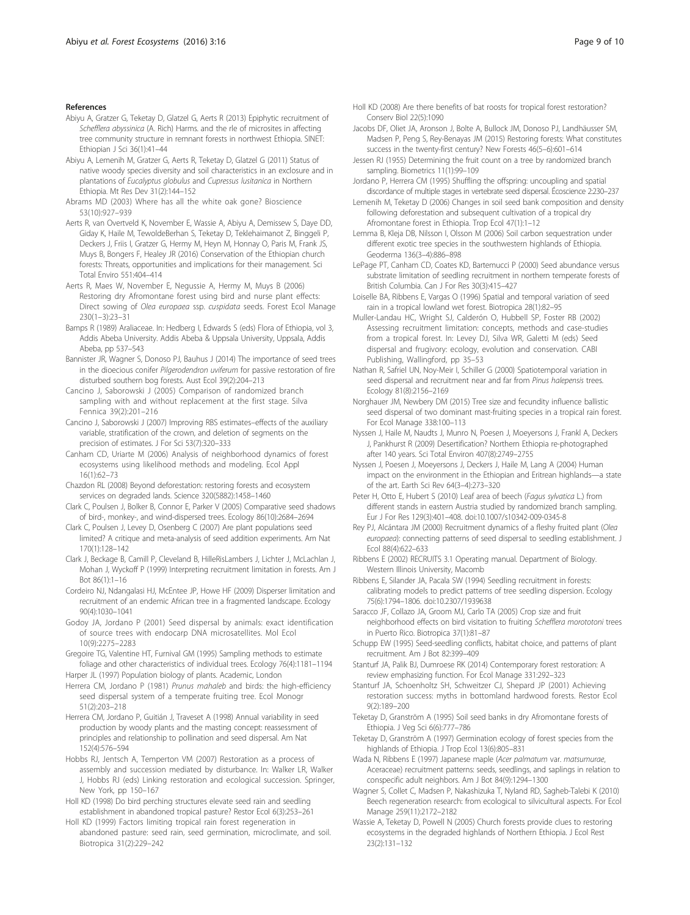- <span id="page-8-0"></span>Abiyu A, Gratzer G, Teketay D, Glatzel G, Aerts R (2013) Epiphytic recruitment of Schefflera abyssinica (A. Rich) Harms. and the rle of microsites in affecting tree community structure in remnant forests in northwest Ethiopia. SINET: Ethiopian J Sci 36(1):41–44
- Abiyu A, Lemenih M, Gratzer G, Aerts R, Teketay D, Glatzel G (2011) Status of native woody species diversity and soil characteristics in an exclosure and in plantations of Eucalyptus globulus and Cupressus lusitanica in Northern Ethiopia. Mt Res Dev 31(2):144–152
- Abrams MD (2003) Where has all the white oak gone? Bioscience 53(10):927–939
- Aerts R, van Overtveld K, November E, Wassie A, Abiyu A, Demissew S, Daye DD, Giday K, Haile M, TewoldeBerhan S, Teketay D, Teklehaimanot Z, Binggeli P, Deckers J, Friis I, Gratzer G, Hermy M, Heyn M, Honnay O, Paris M, Frank JS, Muys B, Bongers F, Healey JR (2016) Conservation of the Ethiopian church forests: Threats, opportunities and implications for their management. Sci Total Enviro 551:404–414
- Aerts R, Maes W, November E, Negussie A, Hermy M, Muys B (2006) Restoring dry Afromontane forest using bird and nurse plant effects: Direct sowing of Olea europaea ssp. cuspidata seeds. Forest Ecol Manage 230(1–3):23–31
- Bamps R (1989) Araliaceae. In: Hedberg I, Edwards S (eds) Flora of Ethiopia, vol 3, Addis Abeba University. Addis Abeba & Uppsala University, Uppsala, Addis Abeba, pp 537–543
- Bannister JR, Wagner S, Donoso PJ, Bauhus J (2014) The importance of seed trees in the dioecious conifer Pilgerodendron uviferum for passive restoration of fire disturbed southern bog forests. Aust Ecol 39(2):204–213
- Cancino J, Saborowski J (2005) Comparison of randomized branch sampling with and without replacement at the first stage. Silva Fennica 39(2):201–216
- Cancino J, Saborowski J (2007) Improving RBS estimates–effects of the auxiliary variable, stratification of the crown, and deletion of segments on the precision of estimates. J For Sci 53(7):320–333
- Canham CD, Uriarte M (2006) Analysis of neighborhood dynamics of forest ecosystems using likelihood methods and modeling. Ecol Appl 16(1):62–73
- Chazdon RL (2008) Beyond deforestation: restoring forests and ecosystem services on degraded lands. Science 320(5882):1458–1460
- Clark C, Poulsen J, Bolker B, Connor E, Parker V (2005) Comparative seed shadows of bird-, monkey-, and wind-dispersed trees. Ecology 86(10):2684–2694
- Clark C, Poulsen J, Levey D, Osenberg C (2007) Are plant populations seed limited? A critique and meta-analysis of seed addition experiments. Am Nat 170(1):128–142
- Clark J, Beckage B, Camill P, Cleveland B, HilleRisLambers J, Lichter J, McLachlan J, Mohan J, Wyckoff P (1999) Interpreting recruitment limitation in forests. Am J Bot 86(1):1–16
- Cordeiro NJ, Ndangalasi HJ, McEntee JP, Howe HF (2009) Disperser limitation and recruitment of an endemic African tree in a fragmented landscape. Ecology 90(4):1030–1041
- Godoy JA, Jordano P (2001) Seed dispersal by animals: exact identification of source trees with endocarp DNA microsatellites. Mol Ecol 10(9):2275–2283
- Gregoire TG, Valentine HT, Furnival GM (1995) Sampling methods to estimate foliage and other characteristics of individual trees. Ecology 76(4):1181–1194
- Harper JL (1997) Population biology of plants. Academic, London
- Herrera CM, Jordano P (1981) Prunus mahaleb and birds: the high-efficiency seed dispersal system of a temperate fruiting tree. Ecol Monogr 51(2):203–218
- Herrera CM, Jordano P, Guitián J, Traveset A (1998) Annual variability in seed production by woody plants and the masting concept: reassessment of principles and relationship to pollination and seed dispersal. Am Nat 152(4):576–594
- Hobbs RJ, Jentsch A, Temperton VM (2007) Restoration as a process of assembly and succession mediated by disturbance. In: Walker LR, Walker J, Hobbs RJ (eds) Linking restoration and ecological succession. Springer, New York, pp 150–167
- Holl KD (1998) Do bird perching structures elevate seed rain and seedling establishment in abandoned tropical pasture? Restor Ecol 6(3):253–261
- Holl KD (1999) Factors limiting tropical rain forest regeneration in abandoned pasture: seed rain, seed germination, microclimate, and soil. Biotropica 31(2):229–242
- Holl KD (2008) Are there benefits of bat roosts for tropical forest restoration? Conserv Biol 22(5):1090
- Jacobs DF, Oliet JA, Aronson J, Bolte A, Bullock JM, Donoso PJ, Landhäusser SM, Madsen P, Peng S, Rey-Benayas JM (2015) Restoring forests: What constitutes success in the twenty-first century? New Forests 46(5–6):601–614
- Jessen RJ (1955) Determining the fruit count on a tree by randomized branch sampling. Biometrics 11(1):99–109
- Jordano P, Herrera CM (1995) Shuffling the offspring: uncoupling and spatial discordance of multiple stages in vertebrate seed dispersal. Écoscience 2:230–237
- Lemenih M, Teketay D (2006) Changes in soil seed bank composition and density following deforestation and subsequent cultivation of a tropical dry Afromontane forest in Ethiopia. Trop Ecol 47(1):1–12
- Lemma B, Kleja DB, Nilsson I, Olsson M (2006) Soil carbon sequestration under different exotic tree species in the southwestern highlands of Ethiopia. Geoderma 136(3–4):886–898
- LePage PT, Canham CD, Coates KD, Bartemucci P (2000) Seed abundance versus substrate limitation of seedling recruitment in northern temperate forests of British Columbia. Can J For Res 30(3):415–427
- Loiselle BA, Ribbens E, Vargas O (1996) Spatial and temporal variation of seed rain in a tropical lowland wet forest. Biotropica 28(1):82–95
- Muller-Landau HC, Wright SJ, Calderón O, Hubbell SP, Foster RB (2002) Assessing recruitment limitation: concepts, methods and case-studies from a tropical forest. In: Levey DJ, Silva WR, Galetti M (eds) Seed dispersal and frugivory: ecology, evolution and conservation. CABI Publishing, Wallingford, pp 35–53
- Nathan R, Safriel UN, Noy-Meir I, Schiller G (2000) Spatiotemporal variation in seed dispersal and recruitment near and far from Pinus halepensis trees. Ecology 81(8):2156–2169
- Norghauer JM, Newbery DM (2015) Tree size and fecundity influence ballistic seed dispersal of two dominant mast-fruiting species in a tropical rain forest. For Ecol Manage 338:100–113
- Nyssen J, Haile M, Naudts J, Munro N, Poesen J, Moeyersons J, Frankl A, Deckers J, Pankhurst R (2009) Desertification? Northern Ethiopia re-photographed after 140 years. Sci Total Environ 407(8):2749–2755
- Nyssen J, Poesen J, Moeyersons J, Deckers J, Haile M, Lang A (2004) Human impact on the environment in the Ethiopian and Eritrean highlands—a state of the art. Earth Sci Rev 64(3–4):273–320
- Peter H, Otto E, Hubert S (2010) Leaf area of beech (Fagus sylvatica L.) from different stands in eastern Austria studied by randomized branch sampling. Eur J For Res 129(3):401–408. doi:[10.1007/s10342-009-0345-8](http://dx.doi.org/10.1007/s10342-009-0345-8)
- Rey PJ, Alcántara JM (2000) Recruitment dynamics of a fleshy fruited plant (Olea europaea): connecting patterns of seed dispersal to seedling establishment. J Ecol 88(4):622–633
- Ribbens E (2002) RECRUITS 3.1 Operating manual. Department of Biology. Western Illinois University, Macomb
- Ribbens E, Silander JA, Pacala SW (1994) Seedling recruitment in forests: calibrating models to predict patterns of tree seedling dispersion. Ecology 75(6):1794–1806. doi[:10.2307/1939638](http://dx.doi.org/10.2307/1939638)
- Saracco JF, Collazo JA, Groom MJ, Carlo TA (2005) Crop size and fruit neighborhood effects on bird visitation to fruiting Schefflera morototoni trees in Puerto Rico. Biotropica 37(1):81–87
- Schupp EW (1995) Seed-seedling conflicts, habitat choice, and patterns of plant recruitment. Am J Bot 82:399–409
- Stanturf JA, Palik BJ, Dumroese RK (2014) Contemporary forest restoration: A review emphasizing function. For Ecol Manage 331:292–323
- Stanturf JA, Schoenholtz SH, Schweitzer CJ, Shepard JP (2001) Achieving restoration success: myths in bottomland hardwood forests. Restor Ecol 9(2):189–200
- Teketay D, Granström A (1995) Soil seed banks in dry Afromontane forests of Ethiopia. J Veg Sci 6(6):777–786
- Teketay D, Granström A (1997) Germination ecology of forest species from the highlands of Ethiopia. J Trop Ecol 13(6):805–831
- Wada N, Ribbens E (1997) Japanese maple (Acer palmatum var. matsumurae, Aceraceae) recruitment patterns: seeds, seedlings, and saplings in relation to conspecific adult neighbors. Am J Bot 84(9):1294–1300
- Wagner S, Collet C, Madsen P, Nakashizuka T, Nyland RD, Sagheb-Talebi K (2010) Beech regeneration research: from ecological to silvicultural aspects. For Ecol Manage 259(11):2172–2182
- Wassie A, Teketay D, Powell N (2005) Church forests provide clues to restoring ecosystems in the degraded highlands of Northern Ethiopia. J Ecol Rest 23(2):131–132